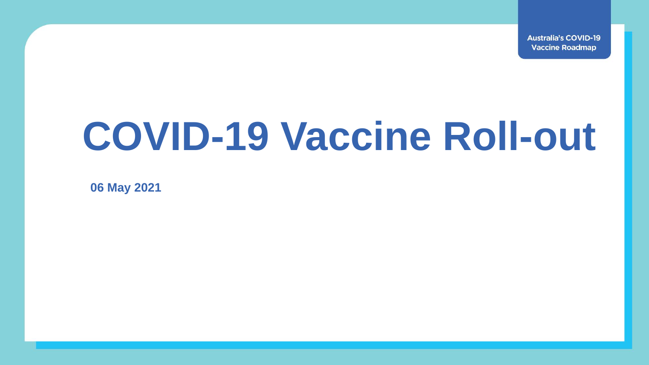**Australia's COVID-19 Vaccine Roadmap** 

## **COVID-19 Vaccine Roll-out**

**06 May 2021**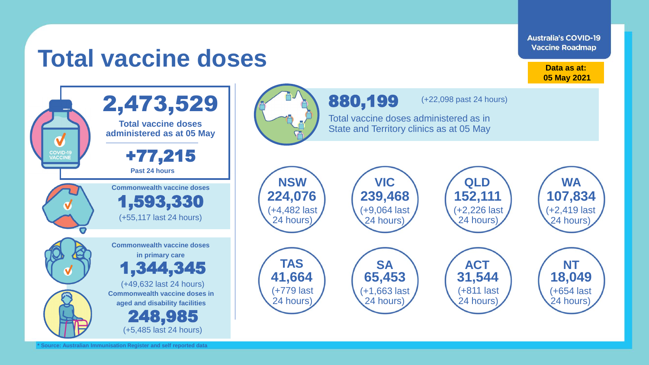

**\* Source: Australian Immunisation Register and self reported data**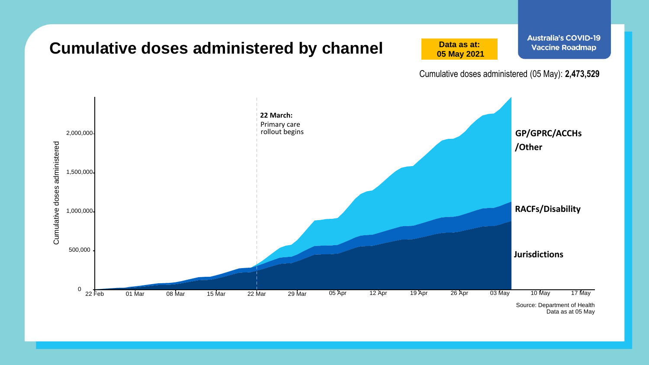

Data as at 05 May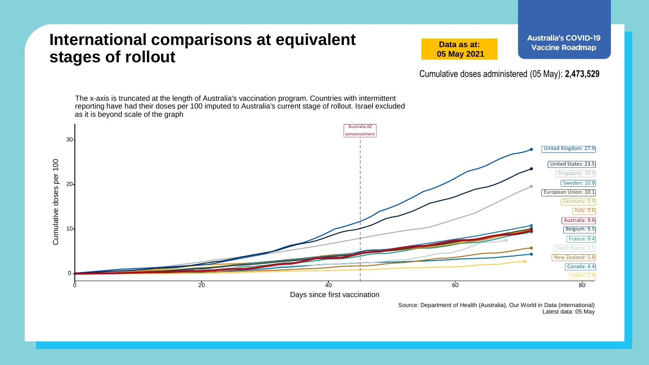## **International comparisons at equivalent stages of rollout**

**Data as at: 05 May 2021**

Cumulative doses administered (05 May): **2,473,529**



Source: Department of Health (Australia), Our World in Data (international) Latest data: 05 May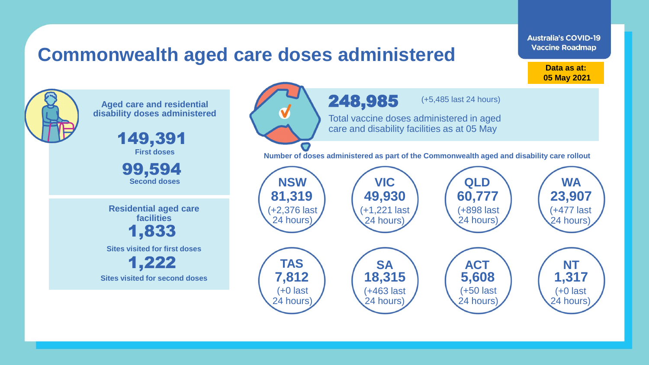## **Commonwealth aged care doses administered**

**Data as at: Data as at: 18 Apr 2021 05 May 2021**